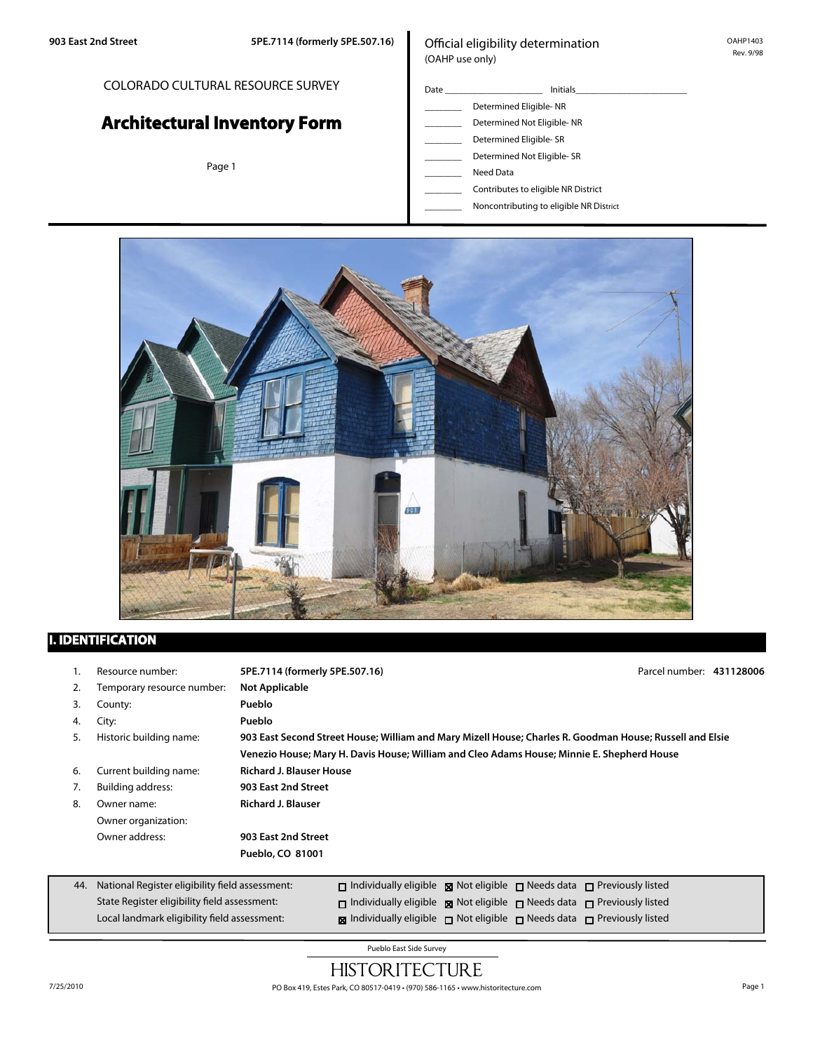## COLORADO CULTURAL RESOURCE SURVEY

# **Architectural Inventory Form**

Page 1

#### Official eligibility determination (OAHP use only)

- Date \_\_\_\_\_\_\_\_\_\_\_\_\_\_\_\_\_\_\_\_\_ Initials\_\_\_\_\_\_\_\_\_\_\_\_\_\_\_\_\_\_\_\_\_\_\_\_ Determined Eligible- NR Determined Not Eligible- NR Determined Eligible- SR Determined Not Eligible- SR
	- \_\_\_\_\_\_\_\_ Need Data
	- \_\_\_\_\_\_\_\_ Contributes to eligible NR District
	- \_\_\_\_\_\_\_\_ Noncontributing to eligible NR District



## **I. IDENTIFICATION**

State Register eligibility field assessment: Local landmark eligibility field assessment:

|     | Resource number:                                | 5PE.7114 (formerly 5PE.507.16)                                                                           | Parcel number: 431128006 |  |
|-----|-------------------------------------------------|----------------------------------------------------------------------------------------------------------|--------------------------|--|
| 2.  | Temporary resource number:                      | <b>Not Applicable</b>                                                                                    |                          |  |
| 3.  | County:                                         | Pueblo                                                                                                   |                          |  |
| 4.  | City:                                           | Pueblo                                                                                                   |                          |  |
| 5.  | Historic building name:                         | 903 East Second Street House; William and Mary Mizell House; Charles R. Goodman House; Russell and Elsie |                          |  |
|     |                                                 | Venezio House; Mary H. Davis House; William and Cleo Adams House; Minnie E. Shepherd House               |                          |  |
| 6.  | Current building name:                          | <b>Richard J. Blauser House</b>                                                                          |                          |  |
| 7.  | <b>Building address:</b>                        | 903 East 2nd Street                                                                                      |                          |  |
| 8.  | Owner name:                                     | <b>Richard J. Blauser</b>                                                                                |                          |  |
|     | Owner organization:                             |                                                                                                          |                          |  |
|     | Owner address:                                  | 903 East 2nd Street                                                                                      |                          |  |
|     |                                                 | Pueblo, CO 81001                                                                                         |                          |  |
|     |                                                 |                                                                                                          |                          |  |
| 44. | National Register eligibility field assessment: | $\Box$ Individually eligible $\Box$ Not eligible $\Box$ Needs data $\Box$ Previously listed              |                          |  |

Pueblo East Side Survey

 $\square$  Individually eligible  $\square$  Not eligible  $\square$  Needs data  $\square$  Previously listed **Individually eligible** not eligible needs data nerviously listed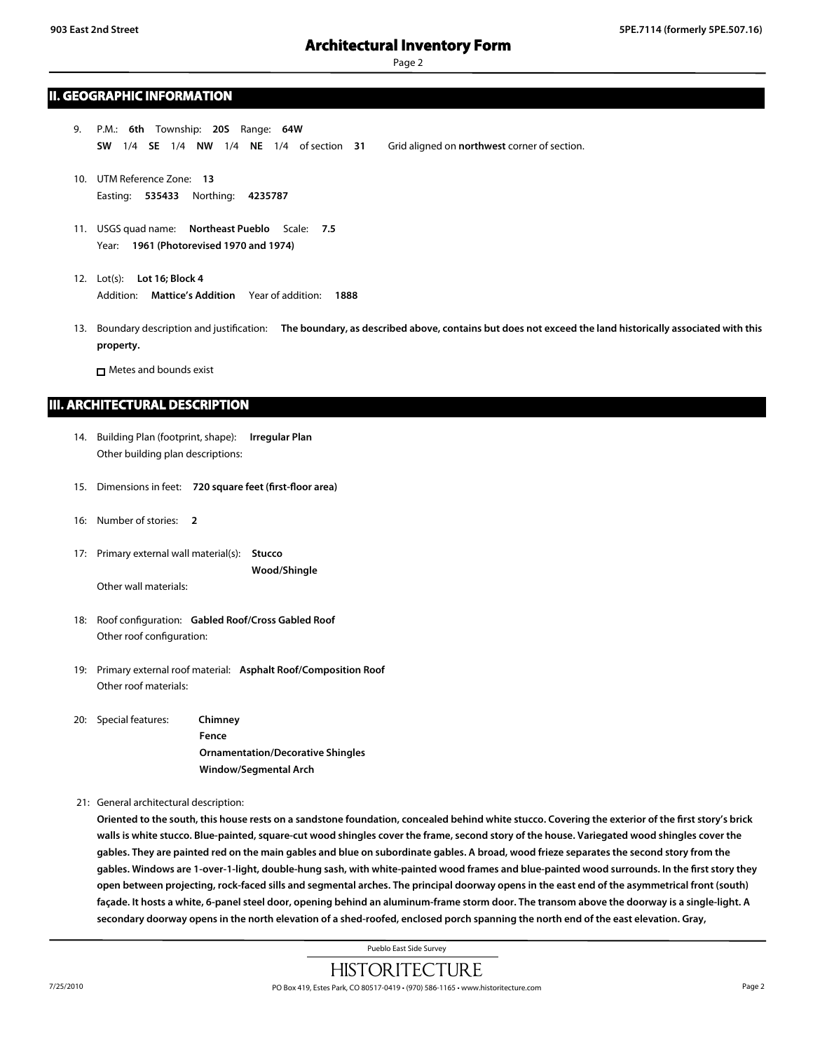#### **II. GEOGRAPHIC INFORMATION**

- 9. P.M.: **6th** Township: **20S** Range: **64W SW** 1/4 **SE** 1/4 **NW** 1/4 **NE** 1/4 of section **31** Grid aligned on **northwest** corner of section.
- 10. UTM Reference Zone: **13** Easting: **535433** Northing: **4235787**
- 11. USGS quad name: **Northeast Pueblo** Scale: **7.5** Year: **1961 (Photorevised 1970 and 1974)**
- 12. Lot(s): **Lot 16; Block 4** Addition: **Mattice's Addition** Year of addition: **1888**
- 13. Boundary description and justification: **The boundary, as described above, contains but does not exceed the land historically associated with this property.**

**n** Metes and bounds exist

#### **III. ARCHITECTURAL DESCRIPTION**

- 14. Building Plan (footprint, shape): **Irregular Plan** Other building plan descriptions:
- 15. Dimensions in feet: **720 square feet (first-floor area)**
- 16: Number of stories: **2**
- 17: Primary external wall material(s): **Stucco Wood/Shingle**

Other wall materials:

- 18: Roof configuration: **Gabled Roof/Cross Gabled Roof** Other roof configuration:
- 19: Primary external roof material: **Asphalt Roof/Composition Roof** Other roof materials:
- 20: Special features: **Chimney Fence Ornamentation/Decorative Shingles Window/Segmental Arch**

21: General architectural description:

**Oriented to the south, this house rests on a sandstone foundation, concealed behind white stucco. Covering the exterior of the first story's brick walls is white stucco. Blue-painted, square-cut wood shingles cover the frame, second story of the house. Variegated wood shingles cover the gables. They are painted red on the main gables and blue on subordinate gables. A broad, wood frieze separates the second story from the gables. Windows are 1-over-1-light, double-hung sash, with white-painted wood frames and blue-painted wood surrounds. In the first story they open between projecting, rock-faced sills and segmental arches. The principal doorway opens in the east end of the asymmetrical front (south) façade. It hosts a white, 6-panel steel door, opening behind an aluminum-frame storm door. The transom above the doorway is a single-light. A secondary doorway opens in the north elevation of a shed-roofed, enclosed porch spanning the north end of the east elevation. Gray,**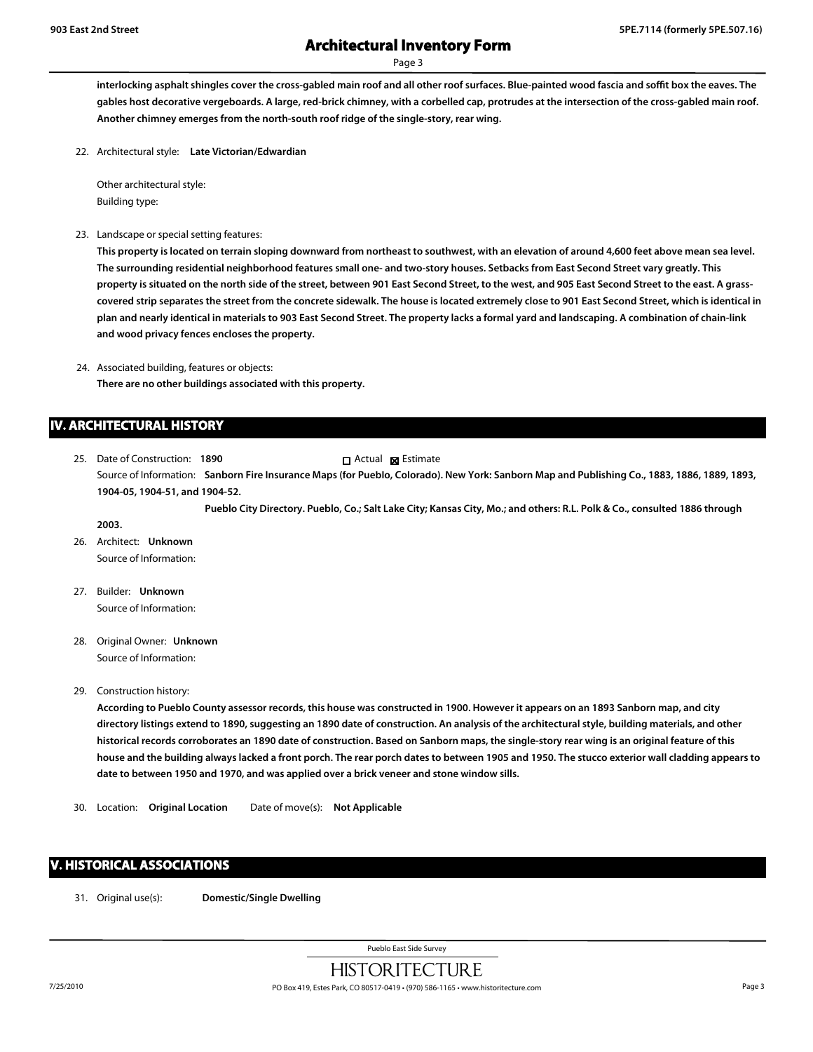Page 3

**interlocking asphalt shingles cover the cross-gabled main roof and all other roof surfaces. Blue-painted wood fascia and soffit box the eaves. The gables host decorative vergeboards. A large, red-brick chimney, with a corbelled cap, protrudes at the intersection of the cross-gabled main roof. Another chimney emerges from the north-south roof ridge of the single-story, rear wing.**

22. Architectural style: **Late Victorian/Edwardian**

Other architectural style: Building type:

23. Landscape or special setting features:

**This property is located on terrain sloping downward from northeast to southwest, with an elevation of around 4,600 feet above mean sea level. The surrounding residential neighborhood features small one- and two-story houses. Setbacks from East Second Street vary greatly. This property is situated on the north side of the street, between 901 East Second Street, to the west, and 905 East Second Street to the east. A grasscovered strip separates the street from the concrete sidewalk. The house is located extremely close to 901 East Second Street, which is identical in plan and nearly identical in materials to 903 East Second Street. The property lacks a formal yard and landscaping. A combination of chain-link and wood privacy fences encloses the property.**

24. Associated building, features or objects: **There are no other buildings associated with this property.**

#### **IV. ARCHITECTURAL HISTORY**

25. Date of Construction: **1890** Source of Information: **Sanborn Fire Insurance Maps (for Pueblo, Colorado). New York: Sanborn Map and Publishing Co., 1883, 1886, 1889, 1893, 1904-05, 1904-51, and 1904-52.** Actual **Estimate** 

**Pueblo City Directory. Pueblo, Co.; Salt Lake City; Kansas City, Mo.; and others: R.L. Polk & Co., consulted 1886 through**

26. Architect: **Unknown** Source of Information:

**2003.**

- 27. Builder: **Unknown** Source of Information:
- 28. Original Owner: **Unknown** Source of Information:
- 29. Construction history:

**According to Pueblo County assessor records, this house was constructed in 1900. However it appears on an 1893 Sanborn map, and city directory listings extend to 1890, suggesting an 1890 date of construction. An analysis of the architectural style, building materials, and other historical records corroborates an 1890 date of construction. Based on Sanborn maps, the single-story rear wing is an original feature of this house and the building always lacked a front porch. The rear porch dates to between 1905 and 1950. The stucco exterior wall cladding appears to date to between 1950 and 1970, and was applied over a brick veneer and stone window sills.**

30. Location: **Original Location** Date of move(s): **Not Applicable**

#### **V. HISTORICAL ASSOCIATIONS**

31. Original use(s): **Domestic/Single Dwelling**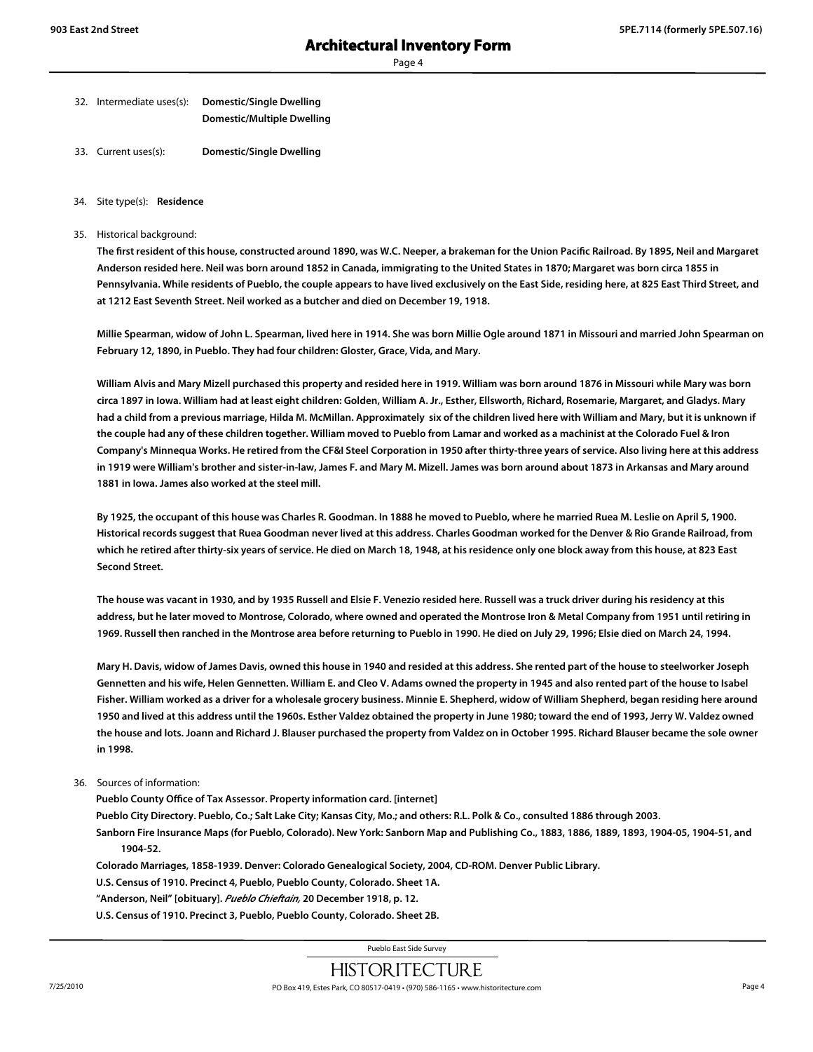Page 4

- 32. Intermediate uses(s): **Domestic/Single Dwelling Domestic/Multiple Dwelling**
- 33. Current uses(s): **Domestic/Single Dwelling**
- 34. Site type(s): **Residence**
- 35. Historical background:

**The first resident of this house, constructed around 1890, was W.C. Neeper, a brakeman for the Union Pacific Railroad. By 1895, Neil and Margaret Anderson resided here. Neil was born around 1852 in Canada, immigrating to the United States in 1870; Margaret was born circa 1855 in Pennsylvania. While residents of Pueblo, the couple appears to have lived exclusively on the East Side, residing here, at 825 East Third Street, and at 1212 East Seventh Street. Neil worked as a butcher and died on December 19, 1918.**

**Millie Spearman, widow of John L. Spearman, lived here in 1914. She was born Millie Ogle around 1871 in Missouri and married John Spearman on February 12, 1890, in Pueblo. They had four children: Gloster, Grace, Vida, and Mary.**

**William Alvis and Mary Mizell purchased this property and resided here in 1919. William was born around 1876 in Missouri while Mary was born circa 1897 in Iowa. William had at least eight children: Golden, William A. Jr., Esther, Ellsworth, Richard, Rosemarie, Margaret, and Gladys. Mary had a child from a previous marriage, Hilda M. McMillan. Approximately six of the children lived here with William and Mary, but it is unknown if the couple had any of these children together. William moved to Pueblo from Lamar and worked as a machinist at the Colorado Fuel & Iron Company's Minnequa Works. He retired from the CF&I Steel Corporation in 1950 after thirty-three years of service. Also living here at this address in 1919 were William's brother and sister-in-law, James F. and Mary M. Mizell. James was born around about 1873 in Arkansas and Mary around 1881 in Iowa. James also worked at the steel mill.**

**By 1925, the occupant of this house was Charles R. Goodman. In 1888 he moved to Pueblo, where he married Ruea M. Leslie on April 5, 1900. Historical records suggest that Ruea Goodman never lived at this address. Charles Goodman worked for the Denver & Rio Grande Railroad, from which he retired after thirty-six years of service. He died on March 18, 1948, at his residence only one block away from this house, at 823 East Second Street.**

**The house was vacant in 1930, and by 1935 Russell and Elsie F. Venezio resided here. Russell was a truck driver during his residency at this address, but he later moved to Montrose, Colorado, where owned and operated the Montrose Iron & Metal Company from 1951 until retiring in 1969. Russell then ranched in the Montrose area before returning to Pueblo in 1990. He died on July 29, 1996; Elsie died on March 24, 1994.**

**Mary H. Davis, widow of James Davis, owned this house in 1940 and resided at this address. She rented part of the house to steelworker Joseph Gennetten and his wife, Helen Gennetten. William E. and Cleo V. Adams owned the property in 1945 and also rented part of the house to Isabel Fisher. William worked as a driver for a wholesale grocery business. Minnie E. Shepherd, widow of William Shepherd, began residing here around 1950 and lived at this address until the 1960s. Esther Valdez obtained the property in June 1980; toward the end of 1993, Jerry W. Valdez owned the house and lots. Joann and Richard J. Blauser purchased the property from Valdez on in October 1995. Richard Blauser became the sole owner in 1998.**

#### 36. Sources of information:

**Pueblo County Office of Tax Assessor. Property information card. [internet]**

**Pueblo City Directory. Pueblo, Co.; Salt Lake City; Kansas City, Mo.; and others: R.L. Polk & Co., consulted 1886 through 2003.**

**Sanborn Fire Insurance Maps (for Pueblo, Colorado). New York: Sanborn Map and Publishing Co., 1883, 1886, 1889, 1893, 1904-05, 1904-51, and 1904-52.**

**Colorado Marriages, 1858-1939. Denver: Colorado Genealogical Society, 2004, CD-ROM. Denver Public Library.**

**U.S. Census of 1910. Precinct 4, Pueblo, Pueblo County, Colorado. Sheet 1A.**

**"Anderson, Neil" [obituary].** *Pueblo Chieftain,* **20 December 1918, p. 12.**

**U.S. Census of 1910. Precinct 3, Pueblo, Pueblo County, Colorado. Sheet 2B.**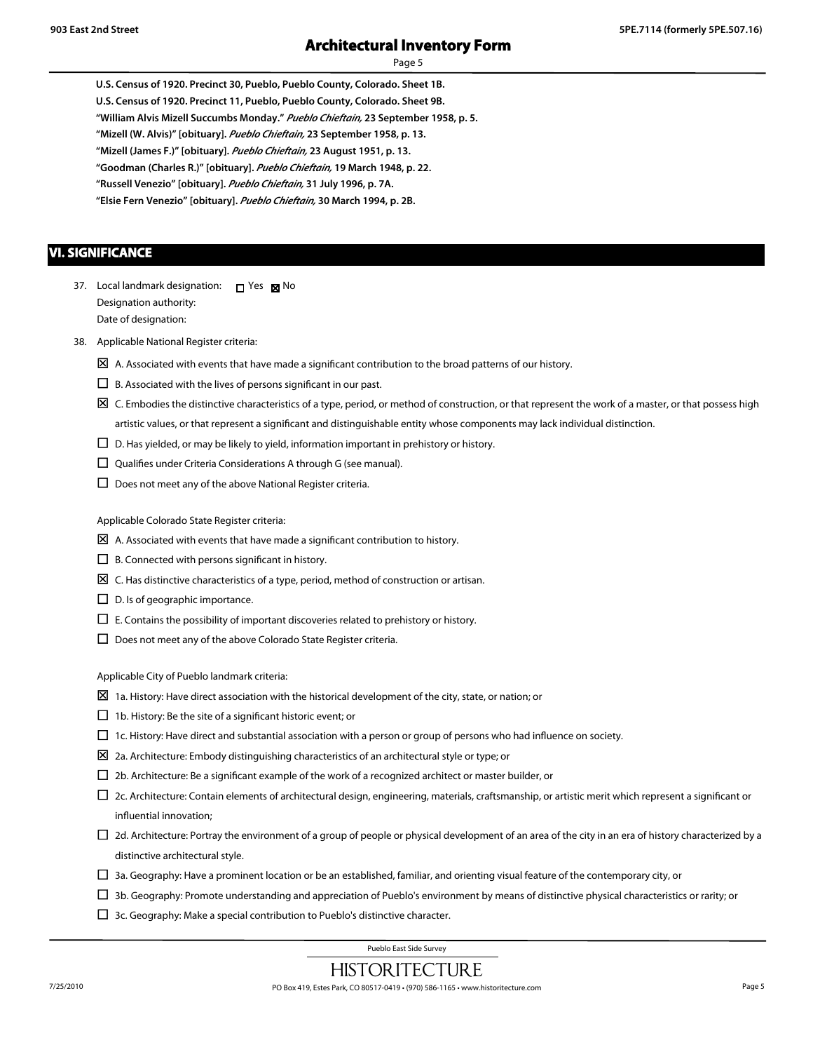**U.S. Census of 1920. Precinct 30, Pueblo, Pueblo County, Colorado. Sheet 1B. U.S. Census of 1920. Precinct 11, Pueblo, Pueblo County, Colorado. Sheet 9B. "William Alvis Mizell Succumbs Monday."** *Pueblo Chieftain,* **23 September 1958, p. 5. "Mizell (W. Alvis)" [obituary].** *Pueblo Chieftain,* **23 September 1958, p. 13. "Mizell (James F.)" [obituary].** *Pueblo Chieftain,* **23 August 1951, p. 13. "Goodman (Charles R.)" [obituary].** *Pueblo Chieftain,* **19 March 1948, p. 22. "Russell Venezio" [obituary].** *Pueblo Chieftain,* **31 July 1996, p. 7A. "Elsie Fern Venezio" [obituary].** *Pueblo Chieftain,* **30 March 1994, p. 2B.**

#### **VI. SIGNIFICANCE**

- 37. Local landmark designation:  $\Box$  Yes  $\boxtimes$  No Designation authority: Date of designation:
- 38. Applicable National Register criteria:
	- $\boxtimes$  A. Associated with events that have made a significant contribution to the broad patterns of our history.
	- $\square$  B. Associated with the lives of persons significant in our past.
	- $\boxtimes$  C. Embodies the distinctive characteristics of a type, period, or method of construction, or that represent the work of a master, or that possess high artistic values, or that represent a significant and distinguishable entity whose components may lack individual distinction.
	- $\Box$  D. Has yielded, or may be likely to yield, information important in prehistory or history.
	- $\square$  Qualifies under Criteria Considerations A through G (see manual).
	- $\square$  Does not meet any of the above National Register criteria.

Applicable Colorado State Register criteria:

- $\boxtimes$  A. Associated with events that have made a significant contribution to history.
- $\Box$  B. Connected with persons significant in history.
- $\boxtimes$  C. Has distinctive characteristics of a type, period, method of construction or artisan.
- $\Box$  D. Is of geographic importance.
- $\Box$  E. Contains the possibility of important discoveries related to prehistory or history.
- $\Box$  Does not meet any of the above Colorado State Register criteria.

Applicable City of Pueblo landmark criteria:

- $\boxtimes$  1a. History: Have direct association with the historical development of the city, state, or nation; or
- $\Box$  1b. History: Be the site of a significant historic event; or
- $\Box$  1c. History: Have direct and substantial association with a person or group of persons who had influence on society.
- $\boxtimes$  2a. Architecture: Embody distinguishing characteristics of an architectural style or type; or
- $\Box$  2b. Architecture: Be a significant example of the work of a recognized architect or master builder, or
- $\Box$  2c. Architecture: Contain elements of architectural design, engineering, materials, craftsmanship, or artistic merit which represent a significant or influential innovation;
- $\Box$  2d. Architecture: Portray the environment of a group of people or physical development of an area of the city in an era of history characterized by a distinctive architectural style.
- $\Box$  3a. Geography: Have a prominent location or be an established, familiar, and orienting visual feature of the contemporary city, or
- $\Box$  3b. Geography: Promote understanding and appreciation of Pueblo's environment by means of distinctive physical characteristics or rarity; or
- $\Box$  3c. Geography: Make a special contribution to Pueblo's distinctive character.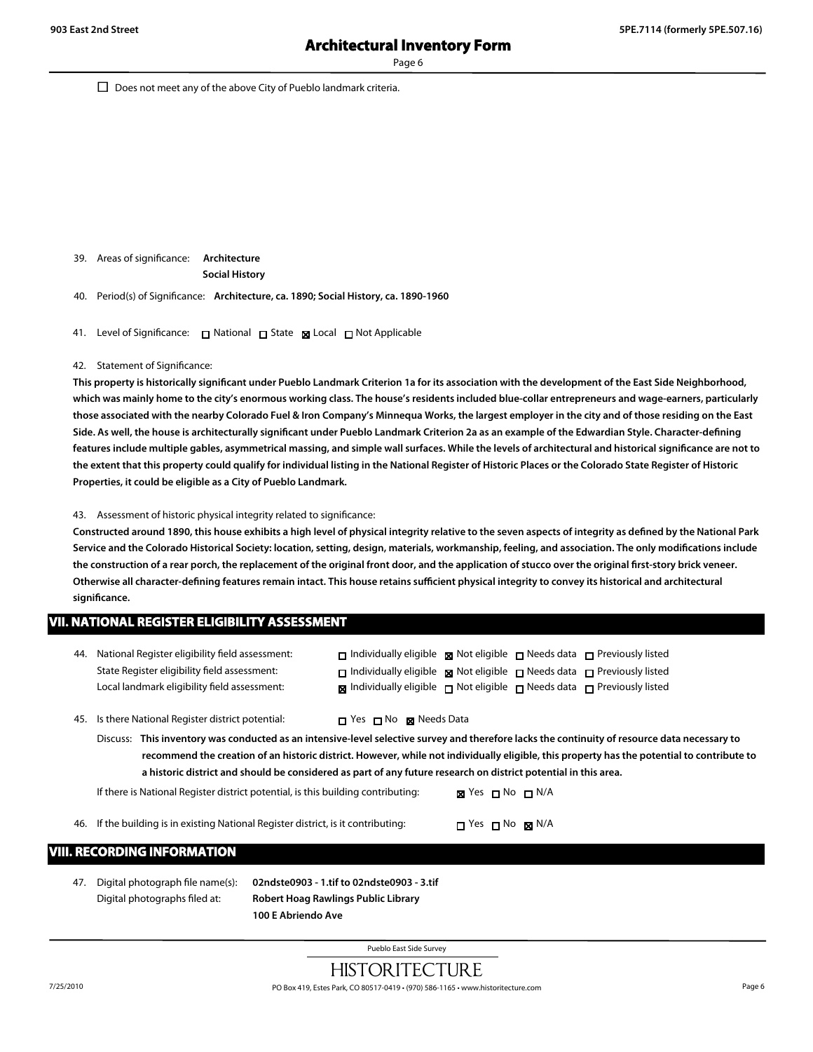Page 6

 $\Box$  Does not meet any of the above City of Pueblo landmark criteria.

39. Areas of significance: **Architecture Social History**

40. Period(s) of Significance: **Architecture, ca. 1890; Social History, ca. 1890-1960**

41. Level of Significance: □ National □ State 図 Local □ Not Applicable

#### 42. Statement of Significance:

**This property is historically significant under Pueblo Landmark Criterion 1a for its association with the development of the East Side Neighborhood, which was mainly home to the city's enormous working class. The house's residents included blue-collar entrepreneurs and wage-earners, particularly those associated with the nearby Colorado Fuel & Iron Company's Minnequa Works, the largest employer in the city and of those residing on the East Side. As well, the house is architecturally significant under Pueblo Landmark Criterion 2a as an example of the Edwardian Style. Character-defining features include multiple gables, asymmetrical massing, and simple wall surfaces. While the levels of architectural and historical significance are not to the extent that this property could qualify for individual listing in the National Register of Historic Places or the Colorado State Register of Historic Properties, it could be eligible as a City of Pueblo Landmark.**

#### 43. Assessment of historic physical integrity related to significance:

**Constructed around 1890, this house exhibits a high level of physical integrity relative to the seven aspects of integrity as defined by the National Park Service and the Colorado Historical Society: location, setting, design, materials, workmanship, feeling, and association. The only modifications include the construction of a rear porch, the replacement of the original front door, and the application of stucco over the original first-story brick veneer. Otherwise all character-defining features remain intact. This house retains sufficient physical integrity to convey its historical and architectural significance.**

#### **VII. NATIONAL REGISTER ELIGIBILITY ASSESSMENT**

| 44. | National Register eligibility field assessment:    | $\Box$ Individually eligible $\Box$ Not eligible $\Box$ Needs data $\Box$ Previously listed      |
|-----|----------------------------------------------------|--------------------------------------------------------------------------------------------------|
|     | State Register eligibility field assessment:       | $\Box$ Individually eligible $\Box$ Not eligible $\Box$ Needs data $\Box$ Previously listed      |
|     | Local landmark eligibility field assessment:       | $\boxtimes$ Individually eligible $\Box$ Not eligible $\Box$ Needs data $\Box$ Previously listed |
|     |                                                    |                                                                                                  |
|     | 45. Is there National Register district potential: | □ Yes □ No ⊠ Needs Data                                                                          |

Discuss: **This inventory was conducted as an intensive-level selective survey and therefore lacks the continuity of resource data necessary to recommend the creation of an historic district. However, while not individually eligible, this property has the potential to contribute to a historic district and should be considered as part of any future research on district potential in this area.**

If there is National Register district potential, is this building contributing: **No No Ni** N/A

46. If the building is in existing National Register district, is it contributing:  $\Box$  Yes  $\Box$  No  $\boxtimes$  N/A

#### **VIII. RECORDING INFORMATION**

47. Digital photograph file name(s): **02ndste0903 - 1.tif to 02ndste0903 - 3.tif**

Digital photographs filed at: **Robert Hoag Rawlings Public Library 100 E Abriendo Ave**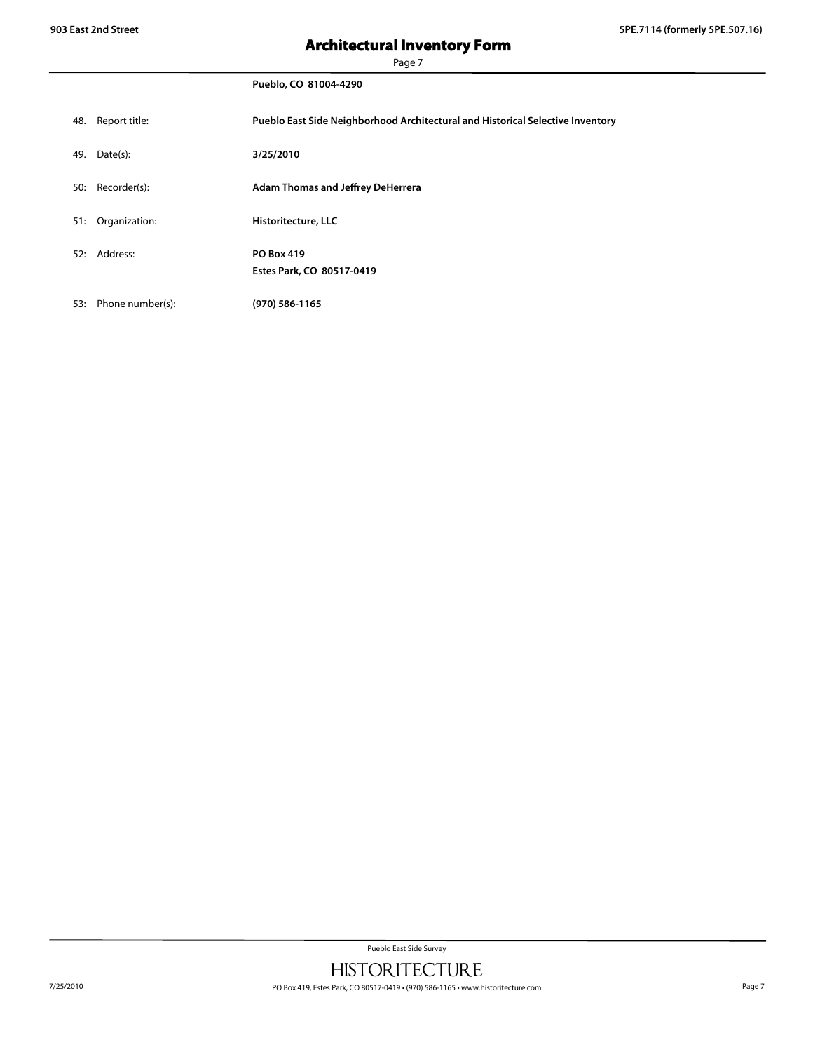# **Architectural Inventory Form**

Page 7

|     |                  | Pueblo, CO 81004-4290                                                          |
|-----|------------------|--------------------------------------------------------------------------------|
| 48. | Report title:    | Pueblo East Side Neighborhood Architectural and Historical Selective Inventory |
| 49. | Date(s):         | 3/25/2010                                                                      |
| 50: | Recorder(s):     | <b>Adam Thomas and Jeffrey DeHerrera</b>                                       |
| 51: | Organization:    | Historitecture, LLC                                                            |
| 52: | Address:         | <b>PO Box 419</b><br>Estes Park, CO 80517-0419                                 |
| 53: | Phone number(s): | (970) 586-1165                                                                 |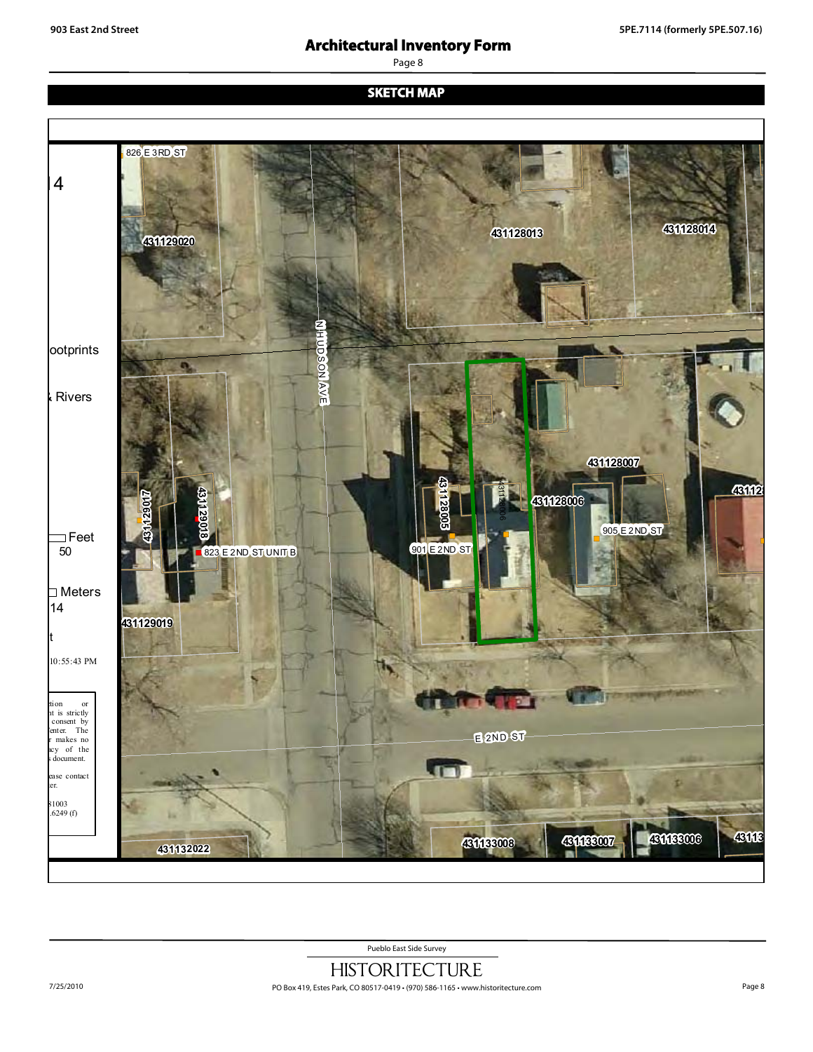# **Architectural Inventory Form**

Page 8

#### **SKETCH MAP**